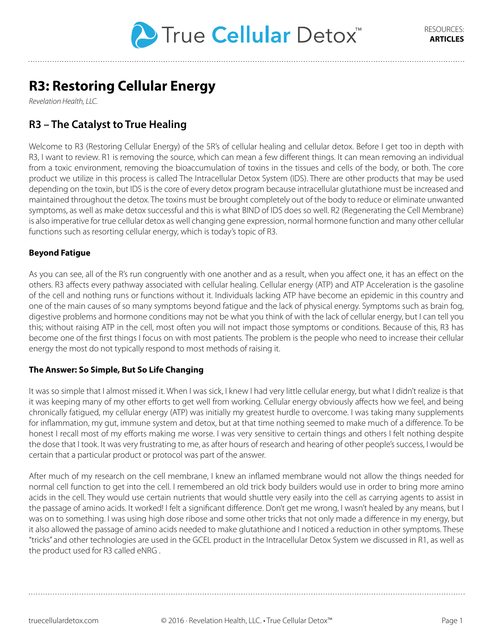

# **R3: Restoring Cellular Energy**

*Revelation Health, LLC.*

# **R3 – The Catalyst to True Healing**

Welcome to R3 (Restoring Cellular Energy) of the 5R's of cellular healing and cellular detox. Before I get too in depth with R3, I want to review. R1 is removing the source, which can mean a few different things. It can mean removing an individual from a toxic environment, removing the bioaccumulation of toxins in the tissues and cells of the body, or both. The core product we utilize in this process is called The Intracellular Detox System (IDS). There are other products that may be used depending on the toxin, but IDS is the core of every detox program because intracellular glutathione must be increased and maintained throughout the detox. The toxins must be brought completely out of the body to reduce or eliminate unwanted symptoms, as well as make detox successful and this is what BIND of IDS does so well. R2 (Regenerating the Cell Membrane) is also imperative for true cellular detox as well changing gene expression, normal hormone function and many other cellular functions such as resorting cellular energy, which is today's topic of R3.

# **Beyond Fatigue**

As you can see, all of the R's run congruently with one another and as a result, when you affect one, it has an effect on the others. R3 affects every pathway associated with cellular healing. Cellular energy (ATP) and ATP Acceleration is the gasoline of the cell and nothing runs or functions without it. Individuals lacking ATP have become an epidemic in this country and one of the main causes of so many symptoms beyond fatigue and the lack of physical energy. Symptoms such as brain fog, digestive problems and hormone conditions may not be what you think of with the lack of cellular energy, but I can tell you this; without raising ATP in the cell, most often you will not impact those symptoms or conditions. Because of this, R3 has become one of the first things I focus on with most patients. The problem is the people who need to increase their cellular energy the most do not typically respond to most methods of raising it.

# **The Answer: So Simple, But So Life Changing**

It was so simple that I almost missed it. When I was sick, I knew I had very little cellular energy, but what I didn't realize is that it was keeping many of my other efforts to get well from working. Cellular energy obviously affects how we feel, and being chronically fatigued, my cellular energy (ATP) was initially my greatest hurdle to overcome. I was taking many supplements for inflammation, my gut, immune system and detox, but at that time nothing seemed to make much of a difference. To be honest I recall most of my efforts making me worse. I was very sensitive to certain things and others I felt nothing despite the dose that I took. It was very frustrating to me, as after hours of research and hearing of other people's success, I would be certain that a particular product or protocol was part of the answer.

After much of my research on the cell membrane, I knew an inflamed membrane would not allow the things needed for normal cell function to get into the cell. I remembered an old trick body builders would use in order to bring more amino acids in the cell. They would use certain nutrients that would shuttle very easily into the cell as carrying agents to assist in the passage of amino acids. It worked! I felt a significant difference. Don't get me wrong, I wasn't healed by any means, but I was on to something. I was using high dose ribose and some other tricks that not only made a difference in my energy, but it also allowed the passage of amino acids needed to make glutathione and I noticed a reduction in other symptoms. These "tricks" and other technologies are used in the GCEL product in the Intracellular Detox System we discussed in R1, as well as the product used for R3 called eNRG .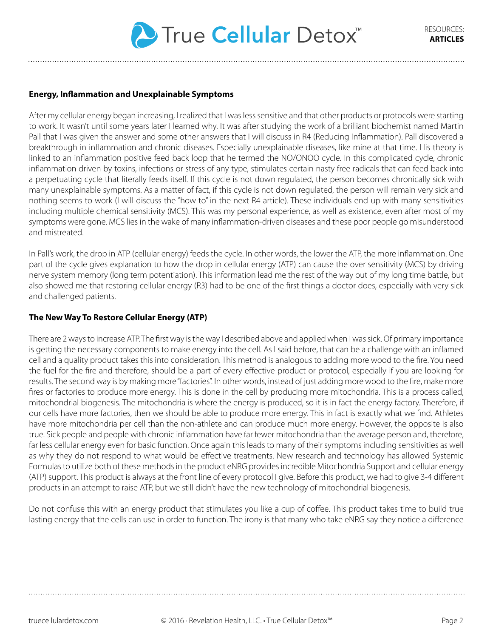

#### **Energy, Inflammation and Unexplainable Symptoms**

After my cellular energy began increasing, I realized that I was less sensitive and that other products or protocols were starting to work. It wasn't until some years later I learned why. It was after studying the work of a brilliant biochemist named Martin Pall that I was given the answer and some other answers that I will discuss in R4 (Reducing Inflammation). Pall discovered a breakthrough in inflammation and chronic diseases. Especially unexplainable diseases, like mine at that time. His theory is linked to an inflammation positive feed back loop that he termed the NO/ONOO cycle. In this complicated cycle, chronic inflammation driven by toxins, infections or stress of any type, stimulates certain nasty free radicals that can feed back into a perpetuating cycle that literally feeds itself. If this cycle is not down regulated, the person becomes chronically sick with many unexplainable symptoms. As a matter of fact, if this cycle is not down regulated, the person will remain very sick and nothing seems to work (I will discuss the "how to" in the next R4 article). These individuals end up with many sensitivities including multiple chemical sensitivity (MCS). This was my personal experience, as well as existence, even after most of my symptoms were gone. MCS lies in the wake of many inflammation-driven diseases and these poor people go misunderstood and mistreated.

In Pall's work, the drop in ATP (cellular energy) feeds the cycle. In other words, the lower the ATP, the more inflammation. One part of the cycle gives explanation to how the drop in cellular energy (ATP) can cause the over sensitivity (MCS) by driving nerve system memory (long term potentiation). This information lead me the rest of the way out of my long time battle, but also showed me that restoring cellular energy (R3) had to be one of the first things a doctor does, especially with very sick and challenged patients.

#### **The New Way To Restore Cellular Energy (ATP)**

There are 2 ways to increase ATP. The first way is the way I described above and applied when I was sick. Of primary importance is getting the necessary components to make energy into the cell. As I said before, that can be a challenge with an inflamed cell and a quality product takes this into consideration. This method is analogous to adding more wood to the fire. You need the fuel for the fire and therefore, should be a part of every effective product or protocol, especially if you are looking for results. The second way is by making more "factories". In other words, instead of just adding more wood to the fire, make more fires or factories to produce more energy. This is done in the cell by producing more mitochondria. This is a process called, mitochondrial biogenesis. The mitochondria is where the energy is produced, so it is in fact the energy factory. Therefore, if our cells have more factories, then we should be able to produce more energy. This in fact is exactly what we find. Athletes have more mitochondria per cell than the non-athlete and can produce much more energy. However, the opposite is also true. Sick people and people with chronic inflammation have far fewer mitochondria than the average person and, therefore, far less cellular energy even for basic function. Once again this leads to many of their symptoms including sensitivities as well as why they do not respond to what would be effective treatments. New research and technology has allowed Systemic Formulas to utilize both of these methods in the product eNRG provides incredible Mitochondria Support and cellular energy (ATP) support. This product is always at the front line of every protocol I give. Before this product, we had to give 3-4 different products in an attempt to raise ATP, but we still didn't have the new technology of mitochondrial biogenesis.

Do not confuse this with an energy product that stimulates you like a cup of coffee. This product takes time to build true lasting energy that the cells can use in order to function. The irony is that many who take eNRG say they notice a difference